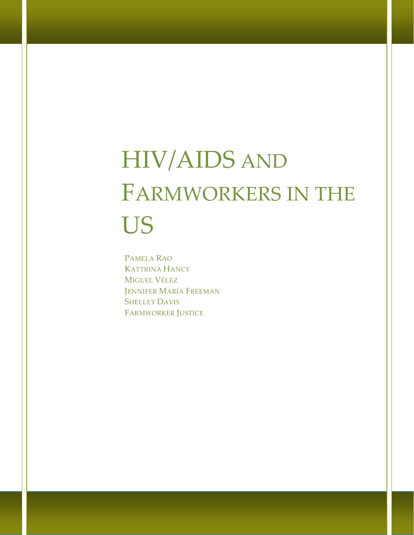# HIV/AIDS AND FARMWORKERS IN THE US

PAMELA RAO KATTRINA HANCY MIGUEL VÉLEZ JENNIFER MARÍA FREEMAN **SHELLEY DAVIS** FARMWORKER JUSTICE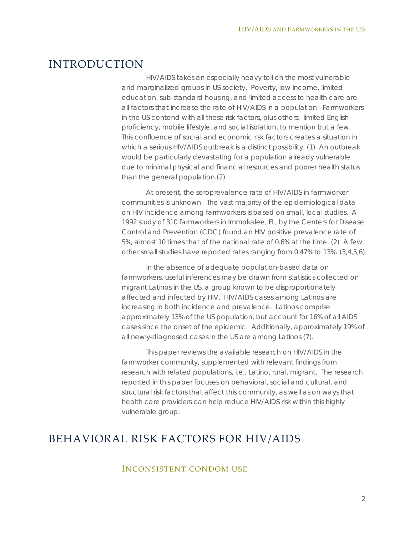## INTRODUCTION

HIV/AIDS takes an especially heavy toll on the most vulnerable and marginalized groups in US society. Poverty, low income, limited education, sub-standard housing, and limited access to health care are all factors that increase the rate of HIV/AIDS in a population. Farmworkers in the US contend with all these risk factors, plus others: limited English proficiency, mobile lifestyle, and social isolation, to mention but a few. This confluence of social and economic risk factors creates a situation in which a serious HIV/AIDS outbreak is a distinct possibility. (1) An outbreak would be particularly devastating for a population already vulnerable due to minimal physical and financial resources and poorer health status than the general population.(2)

At present, the seroprevalence rate of HIV/AIDS in farmworker communities is unknown. The vast majority of the epidemiological data on HIV incidence among farmworkers is based on small, local studies. A 1992 study of 310 farmworkers in Immokalee, FL, by the Centers for Disease Control and Prevention (CDC) found an HIV positive prevalence rate of 5%, almost 10 times that of the national rate of 0.6% at the time. (2) A few other small studies have reported rates ranging from 0.47% to 13%. (3,4,5,6)

In the absence of adequate population-based data on farmworkers, useful inferences may be drawn from statistics collected on migrant Latinos in the US, a group known to be disproportionately affected and infected by HIV. HIV/AIDS cases among Latinos are increasing in both incidence and prevalence. Latinos comprise approximately 13% of the US population, but account for 16% of all AIDS cases since the onset of the epidemic. Additionally, approximately 19% of all newly-diagnosed cases in the US are among Latinos (7).

This paper reviews the available research on HIV/AIDS in the farmworker community, supplemented with relevant findings from research with related populations, i.e., Latino, rural, migrant. The research reported in this paper focuses on behavioral, social and cultural, and structural risk factors that affect this community, as well as on ways that health care providers can help reduce HIV/AIDS risk within this highly vulnerable group.

# BEHAVIORAL RISK FACTORS FOR HIV/AIDS

INCONSISTENT CONDOM USE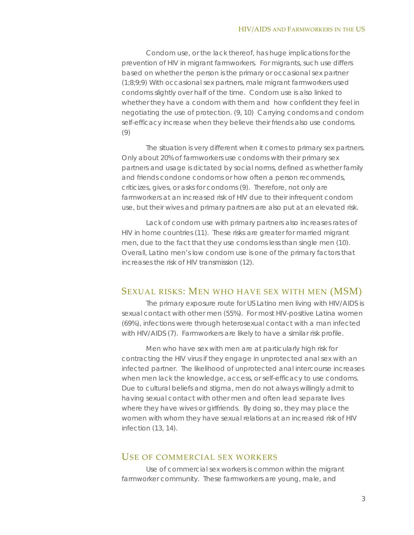Condom use, or the lack thereof, has huge implications for the prevention of HIV in migrant farmworkers. For migrants, such use differs based on whether the person is the primary or occasional sex partner (1;8;9;9) With occasional sex partners, male migrant farmworkers used condoms slightly over half of the time. Condom use is also linked to whether they have a condom with them and how confident they feel in negotiating the use of protection. (9, 10) Carrying condoms and condom self-efficacy increase when they believe their friends also use condoms. (9)

The situation is very different when it comes to primary sex partners. Only about 20% of farmworkers use condoms with their primary sex partners and usage is dictated by social norms, defined as whether family and friends condone condoms or how often a person recommends, criticizes, gives, or asks for condoms (9). Therefore, not only are farmworkers at an increased risk of HIV due to their infrequent condom use, but their wives and primary partners are also put at an elevated risk.

Lack of condom use with primary partners also increases rates of HIV in home countries (11). These risks are greater for married migrant men, due to the fact that they use condoms less than single men (10). Overall, Latino men's low condom use is one of the primary factors that increases the risk of HIV transmission (12).

#### SEXUAL RISKS: MEN WHO HAVE SEX WITH MEN (MSM)

The primary exposure route for US Latino men living with HIV/AIDS is sexual contact with other men (55%). For most HIV-positive Latina women (69%), infections were through heterosexual contact with a man infected with HIV/AIDS (7). Farmworkers are likely to have a similar risk profile.

Men who have sex with men are at particularly high risk for contracting the HIV virus if they engage in unprotected anal sex with an infected partner. The likelihood of unprotected anal intercourse increases when men lack the knowledge, access, or self-efficacy to use condoms. Due to cultural beliefs and stigma, men do not always willingly admit to having sexual contact with other men and often lead separate lives where they have wives or girlfriends. By doing so, they may place the women with whom they have sexual relations at an increased risk of HIV infection (13, 14).

#### USE OF COMMERCIAL SEX WORKERS

Use of commercial sex workers is common within the migrant farmworker community. These farmworkers are young, male, and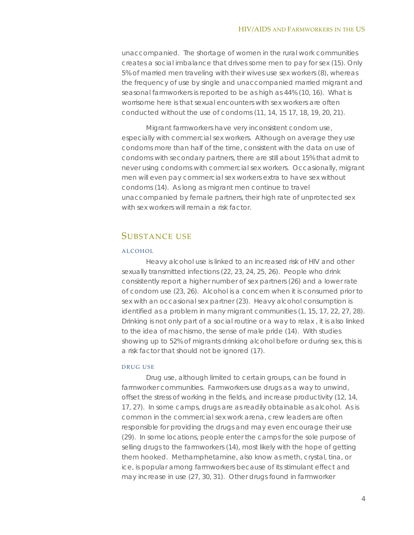unaccompanied. The shortage of women in the rural work communities creates a social imbalance that drives some men to pay for sex (15). Only 5% of married men traveling with their wives use sex workers (8), whereas the frequency of use by single and unaccompanied married migrant and seasonal farmworkers is reported to be as high as 44% (10, 16). What is worrisome here is that sexual encounters with sex workers are often conducted without the use of condoms (11, 14, 15 17, 18, 19, 20, 21).

Migrant farmworkers have very inconsistent condom use, especially with commercial sex workers. Although on average they use condoms more than half of the time, consistent with the data on use of condoms with secondary partners, there are still about 15% that admit to never using condoms with commercial sex workers. Occasionally, migrant men will even pay commercial sex workers extra to have sex without condoms (14). As long as migrant men continue to travel unaccompanied by female partners, their high rate of unprotected sex with sex workers will remain a risk factor.

#### SUBSTANCE USE

#### ALCOHOL

Heavy alcohol use is linked to an increased risk of HIV and other sexually transmitted infections (22, 23, 24, 25, 26). People who drink consistently report a higher number of sex partners (26) and a lower rate of condom use (23, 26). Alcohol is a concern when it is consumed prior to sex with an occasional sex partner (23). Heavy alcohol consumption is identified as a problem in many migrant communities (1, 15, 17, 22, 27, 28). Drinking is not only part of a social routine or a way to relax , it is also linked to the idea of *machismo*, the sense of male pride (14). With studies showing up to 52% of migrants drinking alcohol before or during sex, this is a risk factor that should not be ignored (17).

#### DRUG USE

Drug use, although limited to certain groups, can be found in farmworker communities. Farmworkers use drugs as a way to unwind, offset the stress of working in the fields, and increase productivity (12, 14, 17, 27). In some camps, drugs are as readily obtainable as alcohol. As is common in the commercial sex work arena, crew leaders are often responsible for providing the drugs and may even encourage their use (29). In some locations, people enter the camps for the sole purpose of selling drugs to the farmworkers (14), most likely with the hope of getting them hooked. Methamphetamine, also know as *meth*, *crystal*, *tina*, or *ice*, is popular among farmworkers because of its stimulant effect and may increase in use (27, 30, 31). Other drugs found in farmworker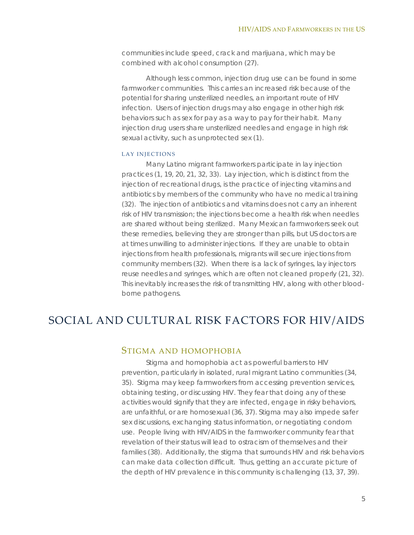communities include speed, crack and marijuana, which may be combined with alcohol consumption (27).

Although less common, injection drug use can be found in some farmworker communities. This carries an increased risk because of the potential for sharing unsterilized needles, an important route of HIV infection. Users of injection drugs may also engage in other high risk behaviors such as sex for pay as a way to pay for their habit. Many injection drug users share unsterilized needles and engage in high risk sexual activity, such as unprotected sex (1).

#### LAY INJECTIONS

Many Latino migrant farmworkers participate in lay injection practices (1, 19, 20, 21, 32, 33). Lay injection, which is distinct from the injection of recreational drugs, is the practice of injecting vitamins and antibiotics by members of the community who have no medical training (32). The injection of antibiotics and vitamins does not carry an inherent risk of HIV transmission; the injections become a health risk when needles are shared without being sterilized. Many Mexican farmworkers seek out these remedies, believing they are stronger than pills, but US doctors are at times unwilling to administer injections. If they are unable to obtain injections from health professionals, migrants will secure injections from community members (32). When there is a lack of syringes, lay injectors reuse needles and syringes, which are often not cleaned properly (21, 32). This inevitably increases the risk of transmitting HIV, along with other bloodborne pathogens.

## SOCIAL AND CULTURAL RISK FACTORS FOR HIV/AIDS

#### STIGMA AND HOMOPHOBIA

Stigma and homophobia act as powerful barriers to HIV prevention, particularly in isolated, rural migrant Latino communities (34, 35). Stigma may keep farmworkers from accessing prevention services, obtaining testing, or discussing HIV. They fear that doing any of these activities would signify that they are infected, engage in risky behaviors, are unfaithful, or are homosexual (36, 37). Stigma may also impede safer sex discussions, exchanging status information, or negotiating condom use. People living with HIV/AIDS in the farmworker community fear that revelation of their status will lead to ostracism of themselves and their families (38). Additionally, the stigma that surrounds HIV and risk behaviors can make data collection difficult. Thus, getting an accurate picture of the depth of HIV prevalence in this community is challenging (13, 37, 39).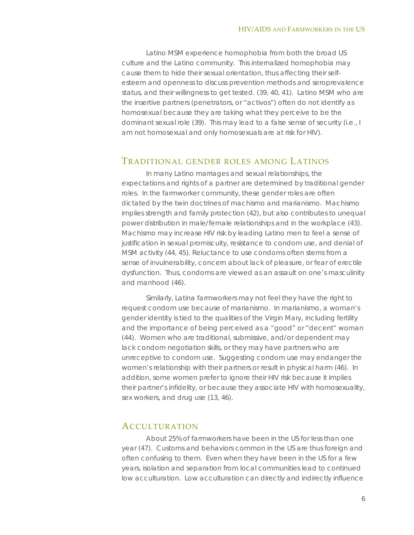Latino MSM experience homophobia from both the broad US culture and the Latino community. This internalized homophobia may cause them to hide their sexual orientation, thus affecting their selfesteem and openness to discuss prevention methods and seroprevalence status, and their willingness to get tested. (39, 40, 41). Latino MSM who are the insertive partners (penetrators, or "*activos*") often do not identify as homosexual because they are taking what they perceive to be the dominant sexual role (39). This may lead to a false sense of security (i.e., I am not homosexual and only homosexuals are at risk for HIV).

#### TRADITIONAL GENDER ROLES AMONG LATINOS

In many Latino marriages and sexual relationships, the expectations and rights of a partner are determined by traditional gender roles. In the farmworker community, these gender roles are often dictated by the twin doctrines of *machismo* and *marianismo*. *Machismo*  implies strength and family protection (42), but also contributes to unequal power distribution in male/female relationships and in the workplace (43). *Machismo* may increase HIV risk by leading Latino men to feel a sense of justification in sexual promiscuity, resistance to condom use, and denial of MSM activity (44, 45). Reluctance to use condoms often stems from a sense of invulnerability, concern about lack of pleasure, or fear of erectile dysfunction. Thus, condoms are viewed as an assault on one's masculinity and manhood (46).

Similarly, Latina farmworkers may not feel they have the right to request condom use because of *marianismo*. In *marianismo*, a woman's gender identity is tied to the qualities of the Virgin Mary, including fertility and the importance of being perceived as a "good" or "decent" woman (44). Women who are traditional, submissive, and/or dependent may lack condom negotiation skills, or they may have partners who are unreceptive to condom use. Suggesting condom use may endanger the women's relationship with their partners or result in physical harm (46). In addition, some women prefer to ignore their HIV risk because it implies their partner's infidelity, or because they associate HIV with homosexuality, sex workers, and drug use (13, 46).

#### ACCULTURATION

About 25% of farmworkers have been in the US for less than one year (47). Customs and behaviors common in the US are thus foreign and often confusing to them. Even when they have been in the US for a few years, isolation and separation from local communities lead to continued low acculturation. Low acculturation can directly and indirectly influence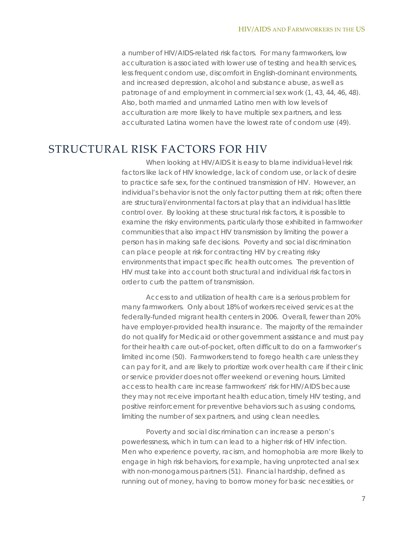a number of HIV/AIDS-related risk factors. For many farmworkers, low acculturation is associated with lower use of testing and health services, less frequent condom use, discomfort in English-dominant environments, and increased depression, alcohol and substance abuse, as well as patronage of and employment in commercial sex work (1, 43, 44, 46, 48). Also, both married and unmarried Latino men with low levels of acculturation are more likely to have multiple sex partners, and less acculturated Latina women have the lowest rate of condom use (49).

# STRUCTURAL RISK FACTORS FOR HIV

When looking at HIV/AIDS it is easy to blame individual-level risk factors like lack of HIV knowledge, lack of condom use, or lack of desire to practice safe sex, for the continued transmission of HIV. However, an individual's behavior is not the only factor putting them at risk; often there are structural/environmental factors at play that an individual has little control over. By looking at these structural risk factors, it is possible to examine the risky environments, particularly those exhibited in farmworker communities that also impact HIV transmission by limiting the power a person has in making safe decisions. Poverty and social discrimination can place people at risk for contracting HIV by creating risky environments that impact specific health outcomes. The prevention of HIV must take into account both structural and individual risk factors in order to curb the pattern of transmission.

Access to and utilization of health care is a serious problem for many farmworkers. Only about 18% of workers received services at the federally-funded migrant health centers in 2006. Overall, fewer than 20% have employer-provided health insurance. The majority of the remainder do not qualify for Medicaid or other government assistance and must pay for their health care out-of-pocket, often difficult to do on a farmworker's limited income (50). Farmworkers tend to forego health care unless they can pay for it, and are likely to prioritize work over health care if their clinic or service provider does not offer weekend or evening hours. Limited access to health care increase farmworkers' risk for HIV/AIDS because they may not receive important health education, timely HIV testing, and positive reinforcement for preventive behaviors such as using condoms, limiting the number of sex partners, and using clean needles.

Poverty and social discrimination can increase a person's powerlessness, which in turn can lead to a higher risk of HIV infection. Men who experience poverty, racism, and homophobia are more likely to engage in high risk behaviors, for example, having unprotected anal sex with non-monogamous partners (51). Financial hardship, defined as running out of money, having to borrow money for basic necessities, or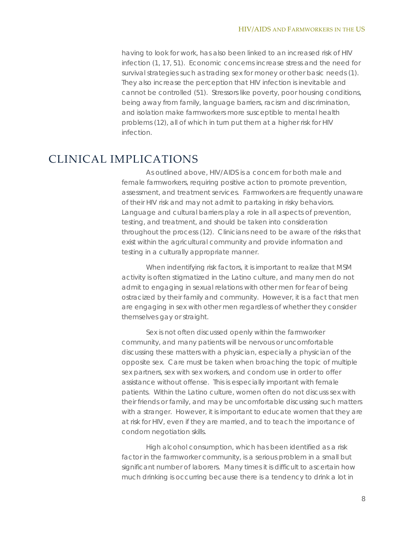having to look for work, has also been linked to an increased risk of HIV infection (1, 17, 51). Economic concerns increase stress and the need for survival strategies such as trading sex for money or other basic needs (1). They also increase the perception that HIV infection is inevitable and cannot be controlled (51). Stressors like poverty, poor housing conditions, being away from family, language barriers, racism and discrimination, and isolation make farmworkers more susceptible to mental health problems (12), all of which in turn put them at a higher risk for HIV infection.

## CLINICAL IMPLICATIONS

As outlined above, HIV/AIDS is a concern for both male and female farmworkers, requiring positive action to promote prevention, assessment, and treatment services. Farmworkers are frequently unaware of their HIV risk and may not admit to partaking in risky behaviors. Language and cultural barriers play a role in all aspects of prevention, testing, and treatment, and should be taken into consideration throughout the process (12). Clinicians need to be aware of the risks that exist within the agricultural community and provide information and testing in a culturally appropriate manner.

When indentifying risk factors, it is important to realize that MSM activity is often stigmatized in the Latino culture, and many men do not admit to engaging in sexual relations with other men for fear of being ostracized by their family and community. However, it is a fact that men are engaging in sex with other men regardless of whether they consider themselves gay or straight.

Sex is not often discussed openly within the farmworker community, and many patients will be nervous or uncomfortable discussing these matters with a physician, especially a physician of the opposite sex. Care must be taken when broaching the topic of multiple sex partners, sex with sex workers, and condom use in order to offer assistance without offense. This is especially important with female patients. Within the Latino culture, women often do not discuss sex with their friends or family, and may be uncomfortable discussing such matters with a stranger. However, it is important to educate women that they are at risk for HIV, even if they are married, and to teach the importance of condom negotiation skills.

High alcohol consumption, which has been identified as a risk factor in the farmworker community, is a serious problem in a small but significant number of laborers. Many times it is difficult to ascertain how much drinking is occurring because there is a tendency to drink a lot in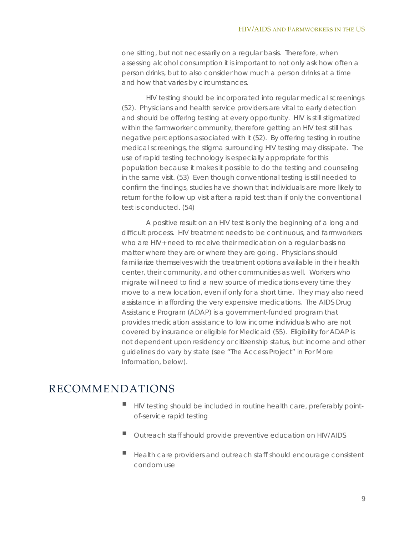one sitting, but not necessarily on a regular basis. Therefore, when assessing alcohol consumption it is important to not only ask how often a person drinks, but to also consider how much a person drinks at a time and how that varies by circumstances.

HIV testing should be incorporated into regular medical screenings (52). Physicians and health service providers are vital to early detection and should be offering testing at every opportunity. HIV is still stigmatized within the farmworker community, therefore getting an HIV test still has negative perceptions associated with it (52). By offering testing in routine medical screenings, the stigma surrounding HIV testing may dissipate. The use of rapid testing technology is especially appropriate for this population because it makes it possible to do the testing and counseling in the same visit. (53) Even though conventional testing is still needed to confirm the findings, studies have shown that individuals are more likely to return for the follow up visit after a rapid test than if only the conventional test is conducted. (54)

A positive result on an HIV test is only the beginning of a long and difficult process. HIV treatment needs to be continuous, and farmworkers who are HIV+ need to receive their medication on a regular basis no matter where they are or where they are going. Physicians should familiarize themselves with the treatment options available in their health center, their community, and other communities as well. Workers who migrate will need to find a new source of medications every time they move to a new location, even if only for a short time. They may also need assistance in affording the very expensive medications. The AIDS Drug Assistance Program (ADAP) is a government-funded program that provides medication assistance to low income individuals who are not covered by insurance or eligible for Medicaid (55). Eligibility for ADAP is not dependent upon residency or citizenship status, but income and other guidelines do vary by state (see "The Access Project" in *For More Information*, below).

## RECOMMENDATIONS

- HIV testing should be included in routine health care, preferably pointof-service rapid testing
- Outreach staff should provide preventive education on HIV/AIDS
- Health care providers and outreach staff should encourage consistent condom use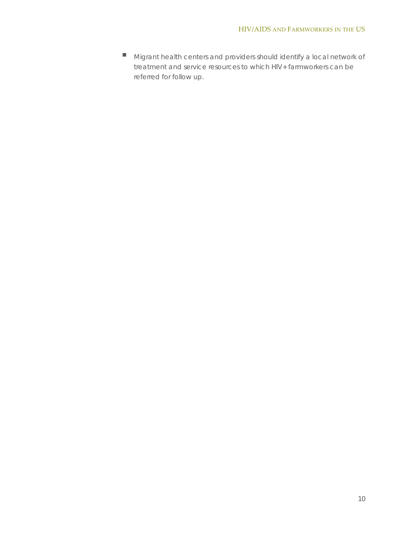Migrant health centers and providers should identify a local network of treatment and service resources to which HIV+ farmworkers can be referred for follow up.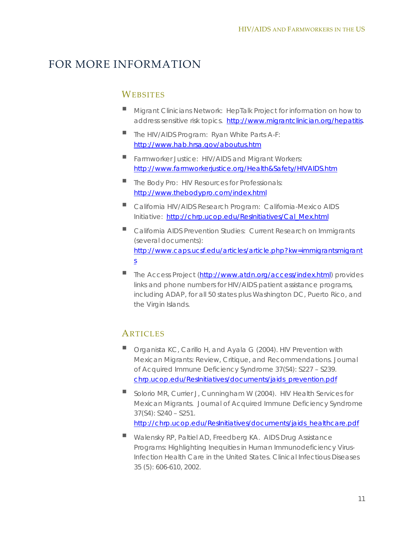# FOR MORE INFORMATION

### **WEBSITES**

- Migrant Clinicians Network: HepTalk Project for information on how to address sensitive risk topics. http://www.migrantclinician.org/hepatitis.
- The HIV/AIDS Program: Ryan White Parts A-F: http://www.hab.hrsa.gov/aboutus.htm
- **Farmworker Justice: HIV/AIDS and Migrant Workers:** http://www.farmworkerjustice.org/Health&Safety/HIVAIDS.htm
- **The Body Pro: HIV Resources for Professionals:** http://www.thebodypro.com/index.html
- California HIV/AIDS Research Program: California-Mexico AIDS Initiative: http://chrp.ucop.edu/ResInitiatives/Cal\_Mex.html
- California AIDS Prevention Studies: Current Research on Immigrants (several documents): http://www.caps.ucsf.edu/articles/article.php?kw=immigrantsmigrant s
- The Access Project (http://www.atdn.org/access/index.html) provides links and phone numbers for HIV/AIDS patient assistance programs, including ADAP, for all 50 states plus Washington DC, Puerto Rico, and the Virgin Islands.

## **ARTICLES**

- Organista KC, Carillo H, and Ayala G (2004). HIV Prevention with Mexican Migrants: Review, Critique, and Recommendations. Journal of Acquired Immune Deficiency Syndrome 37(S4): S227 – S239. chrp.ucop.edu/ResInitiatives/documents/jaids\_prevention.pdf
- Solorio MR, Currier J, Cunningham W (2004). HIV Health Services for Mexican Migrants. Journal of Acquired Immune Deficiency Syndrome 37(S4): S240 – S251. http://chrp.ucop.edu/ResInitiatives/documents/jaids\_healthcare.pdf
- Walensky RP, Paltiel AD, Freedberg KA. AIDS Drug Assistance Programs: Highlighting Inequities in Human Immunodeficiency Virus-Infection Health Care in the United States. Clinical Infectious Diseases 35 (5): 606-610, 2002.